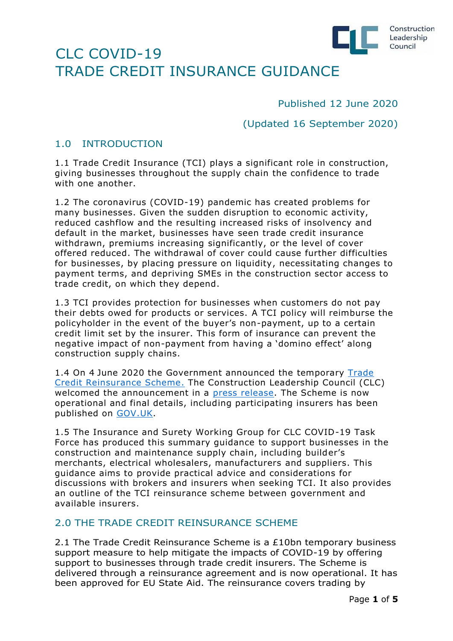

Published 12 June 2020

(Updated 16 September 2020)

### 1.0 INTRODUCTION

1.1 Trade Credit Insurance (TCI) plays a significant role in construction, giving businesses throughout the supply chain the confidence to trade with one another.

1.2 The coronavirus (COVID-19) pandemic has created problems for many businesses. Given the sudden disruption to economic activity, reduced cashflow and the resulting increased risks of insolvency and default in the market, businesses have seen trade credit insurance withdrawn, premiums increasing significantly, or the level of cover offered reduced. The withdrawal of cover could cause further difficulties for businesses, by placing pressure on liquidity, necessitating changes to payment terms, and depriving SMEs in the construction sector access to trade credit, on which they depend.

1.3 TCI provides protection for businesses when customers do not pay their debts owed for products or services. A TCI policy will reimburse the policyholder in the event of the buyer's non-payment, up to a certain credit limit set by the insurer. This form of insurance can prevent the negative impact of non-payment from having a 'domino effect' along construction supply chains.

1.4 On 4 June 2020 the Government announced the temporary [Trade](https://www.gov.uk/government/news/trade-credit-insurance-backed-by-10-billion-guarantee)  [Credit Reinsurance Scheme.](https://www.gov.uk/government/news/trade-credit-insurance-backed-by-10-billion-guarantee) The Construction Leadership Council (CLC) welcomed the announcement in a [press release.](https://www.constructionleadershipcouncil.co.uk/news/trade-credit-insurance-guarantee-launched/) The Scheme is now operational and final details, including participating insurers has been published on [GOV.UK.](https://www.gov.uk/government/publications/trade-credit-reinsurance-scheme)

1.5 The Insurance and Surety Working Group for CLC COVID-19 Task Force has produced this summary guidance to support businesses in the construction and maintenance supply chain, including builder's merchants, electrical wholesalers, manufacturers and suppliers. This guidance aims to provide practical advice and considerations for discussions with brokers and insurers when seeking TCI. It also provides an outline of the TCI reinsurance scheme between government and available insurers.

### 2.0 THE TRADE CREDIT REINSURANCE SCHEME

2.1 The Trade Credit Reinsurance Scheme is a £10bn temporary business support measure to help mitigate the impacts of COVID-19 by offering support to businesses through trade credit insurers. The Scheme is delivered through a reinsurance agreement and is now operational. It has been approved for EU State Aid. The reinsurance covers trading by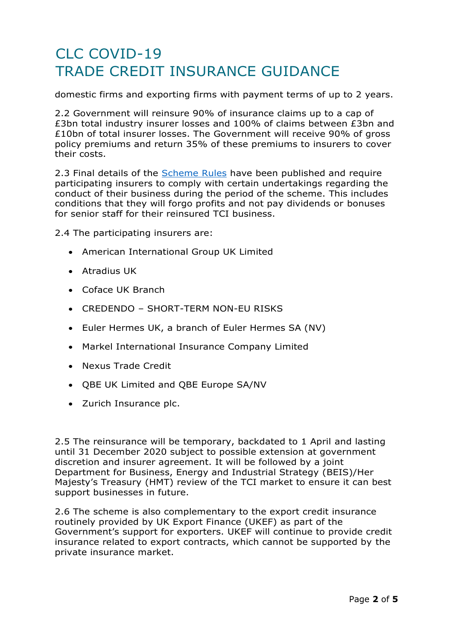domestic firms and exporting firms with payment terms of up to 2 years.

2.2 Government will reinsure 90% of insurance claims up to a cap of £3bn total industry insurer losses and 100% of claims between £3bn and £10bn of total insurer losses. The Government will receive 90% of gross policy premiums and return 35% of these premiums to insurers to cover their costs.

2.3 Final details of the [Scheme Rules](https://www.gov.uk/government/publications/trade-credit-reinsurance-scheme) have been published and require participating insurers to comply with certain undertakings regarding the conduct of their business during the period of the scheme. This includes conditions that they will forgo profits and not pay dividends or bonuses for senior staff for their reinsured TCI business.

2.4 The participating insurers are:

- American International Group UK Limited
- Atradius UK
- Coface UK Branch
- CREDENDO SHORT-TERM NON-EU RISKS
- Euler Hermes UK, a branch of Euler Hermes SA (NV)
- Markel International Insurance Company Limited
- Nexus Trade Credit
- QBE UK Limited and QBE Europe SA/NV
- Zurich Insurance plc.

2.5 The reinsurance will be temporary, backdated to 1 April and lasting until 31 December 2020 subject to possible extension at government discretion and insurer agreement. It will be followed by a joint Department for Business, Energy and Industrial Strategy (BEIS)/Her Majesty's Treasury (HMT) review of the TCI market to ensure it can best support businesses in future.

2.6 The scheme is also complementary to the export credit insurance routinely provided by UK Export Finance (UKEF) as part of the Government's support for exporters. UKEF will continue to provide credit insurance related to export contracts, which cannot be supported by the private insurance market.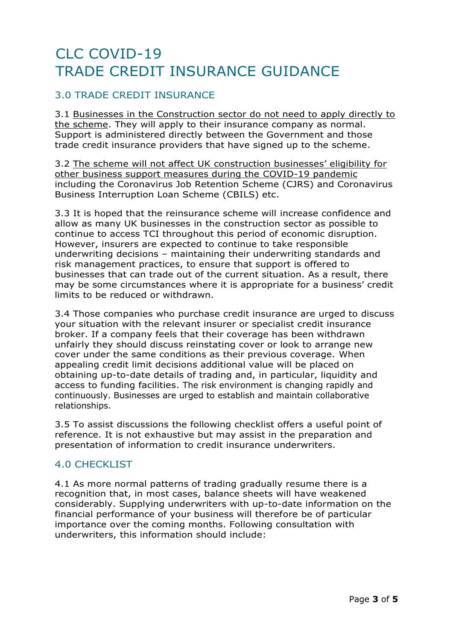### 3.0 TRADE CREDIT INSURANCE

3.1 Businesses in the Construction sector do not need to apply directly to the scheme. They will apply to their insurance company as normal. Support is administered directly between the Government and those trade credit insurance providers that have signed up to the scheme.

3.2 The scheme will not affect UK construction businesses' eligibility for other business support measures during the COVID-19 pandemic including the Coronavirus Job Retention Scheme (CJRS) and Coronavirus Business Interruption Loan Scheme (CBILS) etc.

3.3 It is hoped that the reinsurance scheme will increase confidence and allow as many UK businesses in the construction sector as possible to continue to access TCI throughout this period of economic disruption. However, insurers are expected to continue to take responsible underwriting decisions – maintaining their underwriting standards and risk management practices, to ensure that support is offered to businesses that can trade out of the current situation. As a result, there may be some circumstances where it is appropriate for a business' credit limits to be reduced or withdrawn.

3.4 Those companies who purchase credit insurance are urged to discuss your situation with the relevant insurer or specialist credit insurance broker. If a company feels that their coverage has been withdrawn unfairly they should discuss reinstating cover or look to arrange new cover under the same conditions as their previous coverage. When appealing credit limit decisions additional value will be placed on obtaining up-to-date details of trading and, in particular, liquidity and access to funding facilities. The risk environment is changing rapidly and continuously. Businesses are urged to establish and maintain collaborative relationships.

3.5 To assist discussions the following checklist offers a useful point of reference. It is not exhaustive but may assist in the preparation and presentation of information to credit insurance underwriters.

#### 4.0 CHECKLIST

4.1 As more normal patterns of trading gradually resume there is a recognition that, in most cases, balance sheets will have weakened considerably. Supplying underwriters with up-to-date information on the financial performance of your business will therefore be of particular importance over the coming months. Following consultation with underwriters, this information should include: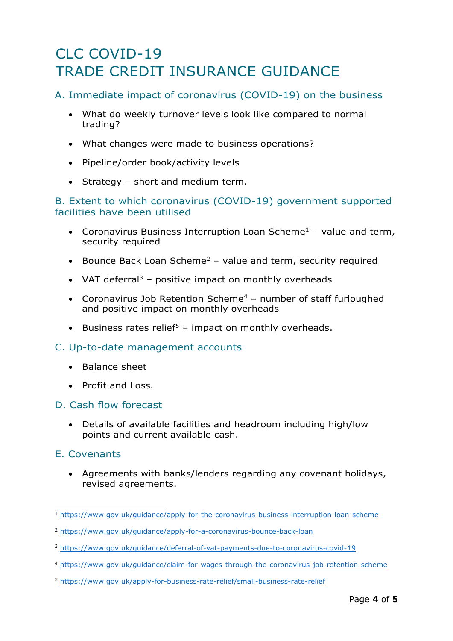### A. Immediate impact of coronavirus (COVID-19) on the business

- What do weekly turnover levels look like compared to normal trading?
- What changes were made to business operations?
- Pipeline/order book/activity levels
- Strategy short and medium term.

#### B. Extent to which coronavirus (COVID-19) government supported facilities have been utilised

- Coronavirus Business Interruption Loan Scheme<sup>1</sup> value and term, security required
- Bounce Back Loan Scheme<sup>2</sup> value and term, security required
- VAT deferral<sup>3</sup> positive impact on monthly overheads
- Coronavirus Job Retention Scheme<sup>4</sup> number of staff furloughed and positive impact on monthly overheads
- Business rates relief<sup>5</sup> impact on monthly overheads.

#### C. Up-to-date management accounts

- Balance sheet
- Profit and Loss.

#### D. Cash flow forecast

• Details of available facilities and headroom including high/low points and current available cash.

#### E. Covenants

• Agreements with banks/lenders regarding any covenant holidays, revised agreements.

<sup>1</sup> <https://www.gov.uk/guidance/apply-for-the-coronavirus-business-interruption-loan-scheme>

<sup>2</sup> <https://www.gov.uk/guidance/apply-for-a-coronavirus-bounce-back-loan>

<sup>3</sup> <https://www.gov.uk/guidance/deferral-of-vat-payments-due-to-coronavirus-covid-19>

<sup>4</sup> <https://www.gov.uk/guidance/claim-for-wages-through-the-coronavirus-job-retention-scheme>

<sup>5</sup> <https://www.gov.uk/apply-for-business-rate-relief/small-business-rate-relief>